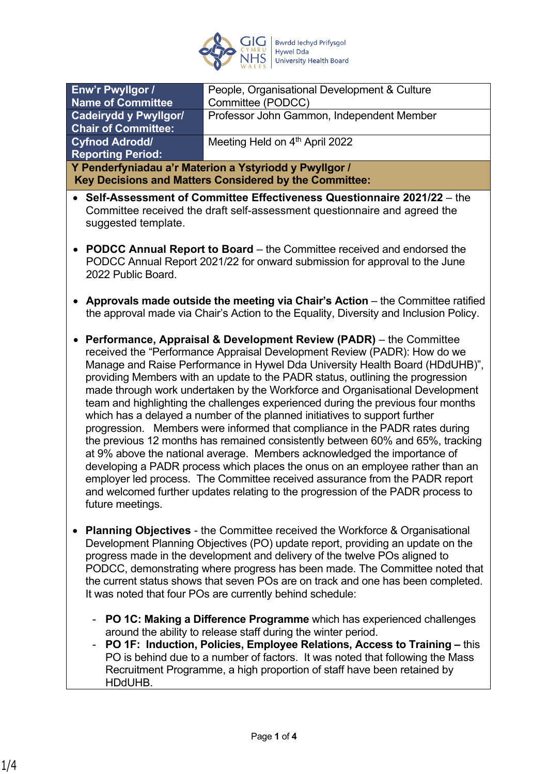

| Enw'r Pwyllgor /                                       | People, Organisational Development & Culture |
|--------------------------------------------------------|----------------------------------------------|
| <b>Name of Committee</b>                               | Committee (PODCC)                            |
| Cadeirydd y Pwyllgor/                                  | Professor John Gammon, Independent Member    |
| <b>Chair of Committee:</b>                             |                                              |
| <b>Cyfnod Adrodd/</b>                                  | Meeting Held on 4th April 2022               |
| <b>Reporting Period:</b>                               |                                              |
| Y Penderfyniadau a'r Materion a Ystyriodd y Pwyllgor / |                                              |
| Key Decisions and Matters Considered by the Committee: |                                              |
|                                                        |                                              |

- **Self-Assessment of Committee Effectiveness Questionnaire 2021/22**  the Committee received the draft self-assessment questionnaire and agreed the suggested template.
- **PODCC Annual Report to Board**  the Committee received and endorsed the PODCC Annual Report 2021/22 for onward submission for approval to the June 2022 Public Board.
- **Approvals made outside the meeting via Chair's Action** the Committee ratified the approval made via Chair's Action to the Equality, Diversity and Inclusion Policy.
- **Performance, Appraisal & Development Review (PADR)** the Committee received the "Performance Appraisal Development Review (PADR): How do we Manage and Raise Performance in Hywel Dda University Health Board (HDdUHB)", providing Members with an update to the PADR status, outlining the progression made through work undertaken by the Workforce and Organisational Development team and highlighting the challenges experienced during the previous four months which has a delayed a number of the planned initiatives to support further progression. Members were informed that compliance in the PADR rates during the previous 12 months has remained consistently between 60% and 65%, tracking at 9% above the national average. Members acknowledged the importance of developing a PADR process which places the onus on an employee rather than an employer led process. The Committee received assurance from the PADR report and welcomed further updates relating to the progression of the PADR process to future meetings.
- **Planning Objectives**  the Committee received the Workforce & Organisational Development Planning Objectives (PO) update report, providing an update on the progress made in the development and delivery of the twelve POs aligned to PODCC, demonstrating where progress has been made. The Committee noted that the current status shows that seven POs are on track and one has been completed. It was noted that four POs are currently behind schedule:
	- **PO 1C: Making a Difference Programme** which has experienced challenges around the ability to release staff during the winter period.
	- **PO 1F: Induction, Policies, Employee Relations, Access to Training** this PO is behind due to a number of factors. It was noted that following the Mass Recruitment Programme, a high proportion of staff have been retained by HDdUHB.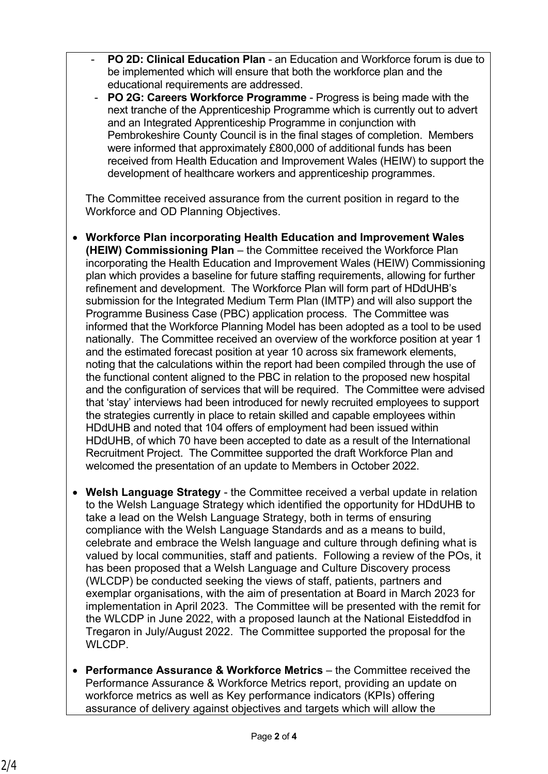- **PO 2D: Clinical Education Plan** an Education and Workforce forum is due to be implemented which will ensure that both the workforce plan and the educational requirements are addressed.
- **PO 2G: Careers Workforce Programme** Progress is being made with the next tranche of the Apprenticeship Programme which is currently out to advert and an Integrated Apprenticeship Programme in conjunction with Pembrokeshire County Council is in the final stages of completion. Members were informed that approximately £800,000 of additional funds has been received from Health Education and Improvement Wales (HEIW) to support the development of healthcare workers and apprenticeship programmes.

The Committee received assurance from the current position in regard to the Workforce and OD Planning Objectives.

- **Workforce Plan incorporating Health Education and Improvement Wales (HEIW) Commissioning Plan** – the Committee received the Workforce Plan incorporating the Health Education and Improvement Wales (HEIW) Commissioning plan which provides a baseline for future staffing requirements, allowing for further refinement and development. The Workforce Plan will form part of HDdUHB's submission for the Integrated Medium Term Plan (IMTP) and will also support the Programme Business Case (PBC) application process. The Committee was informed that the Workforce Planning Model has been adopted as a tool to be used nationally. The Committee received an overview of the workforce position at year 1 and the estimated forecast position at year 10 across six framework elements, noting that the calculations within the report had been compiled through the use of the functional content aligned to the PBC in relation to the proposed new hospital and the configuration of services that will be required. The Committee were advised that 'stay' interviews had been introduced for newly recruited employees to support the strategies currently in place to retain skilled and capable employees within HDdUHB and noted that 104 offers of employment had been issued within HDdUHB, of which 70 have been accepted to date as a result of the International Recruitment Project. The Committee supported the draft Workforce Plan and welcomed the presentation of an update to Members in October 2022.
- **Welsh Language Strategy**  the Committee received a verbal update in relation to the Welsh Language Strategy which identified the opportunity for HDdUHB to take a lead on the Welsh Language Strategy, both in terms of ensuring compliance with the Welsh Language Standards and as a means to build, celebrate and embrace the Welsh language and culture through defining what is valued by local communities, staff and patients. Following a review of the POs, it has been proposed that a Welsh Language and Culture Discovery process (WLCDP) be conducted seeking the views of staff, patients, partners and exemplar organisations, with the aim of presentation at Board in March 2023 for implementation in April 2023. The Committee will be presented with the remit for the WLCDP in June 2022, with a proposed launch at the National Eisteddfod in Tregaron in July/August 2022. The Committee supported the proposal for the WLCDP.
- **Performance Assurance & Workforce Metrics**  the Committee received the Performance Assurance & Workforce Metrics report, providing an update on workforce metrics as well as Key performance indicators (KPIs) offering assurance of delivery against objectives and targets which will allow the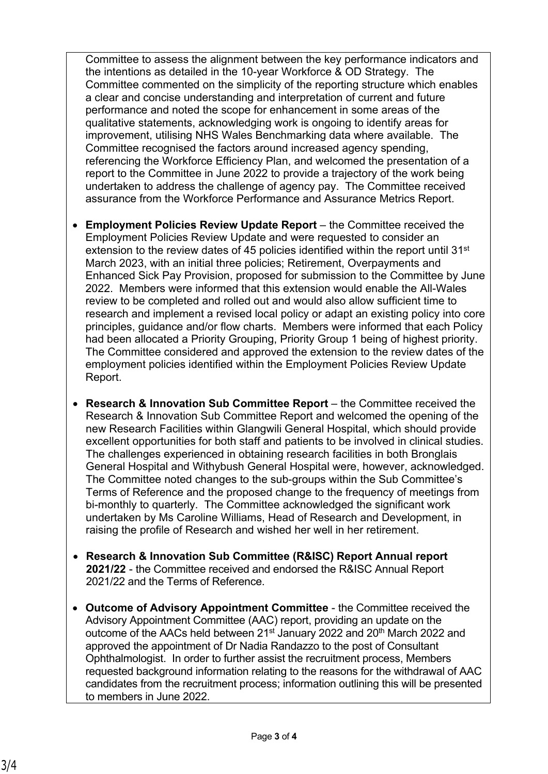Committee to assess the alignment between the key performance indicators and the intentions as detailed in the 10-year Workforce & OD Strategy. The Committee commented on the simplicity of the reporting structure which enables a clear and concise understanding and interpretation of current and future performance and noted the scope for enhancement in some areas of the qualitative statements, acknowledging work is ongoing to identify areas for improvement, utilising NHS Wales Benchmarking data where available. The Committee recognised the factors around increased agency spending, referencing the Workforce Efficiency Plan, and welcomed the presentation of a report to the Committee in June 2022 to provide a trajectory of the work being undertaken to address the challenge of agency pay. The Committee received assurance from the Workforce Performance and Assurance Metrics Report.

- **Employment Policies Review Update Report** the Committee received the Employment Policies Review Update and were requested to consider an extension to the review dates of 45 policies identified within the report until 31<sup>st</sup> March 2023, with an initial three policies; Retirement, Overpayments and Enhanced Sick Pay Provision, proposed for submission to the Committee by June 2022. Members were informed that this extension would enable the All-Wales review to be completed and rolled out and would also allow sufficient time to research and implement a revised local policy or adapt an existing policy into core principles, guidance and/or flow charts. Members were informed that each Policy had been allocated a Priority Grouping, Priority Group 1 being of highest priority. The Committee considered and approved the extension to the review dates of the employment policies identified within the Employment Policies Review Update Report.
- **Research & Innovation Sub Committee Report**  the Committee received the Research & Innovation Sub Committee Report and welcomed the opening of the new Research Facilities within Glangwili General Hospital, which should provide excellent opportunities for both staff and patients to be involved in clinical studies. The challenges experienced in obtaining research facilities in both Bronglais General Hospital and Withybush General Hospital were, however, acknowledged. The Committee noted changes to the sub-groups within the Sub Committee's Terms of Reference and the proposed change to the frequency of meetings from bi-monthly to quarterly. The Committee acknowledged the significant work undertaken by Ms Caroline Williams, Head of Research and Development, in raising the profile of Research and wished her well in her retirement.
- **Research & Innovation Sub Committee (R&ISC) Report Annual report 2021/22** - the Committee received and endorsed the R&ISC Annual Report 2021/22 and the Terms of Reference.
- **Outcome of Advisory Appointment Committee** the Committee received the Advisory Appointment Committee (AAC) report, providing an update on the outcome of the AACs held between 21<sup>st</sup> January 2022 and 20<sup>th</sup> March 2022 and approved the appointment of Dr Nadia Randazzo to the post of Consultant Ophthalmologist. In order to further assist the recruitment process, Members requested background information relating to the reasons for the withdrawal of AAC candidates from the recruitment process; information outlining this will be presented to members in June 2022.